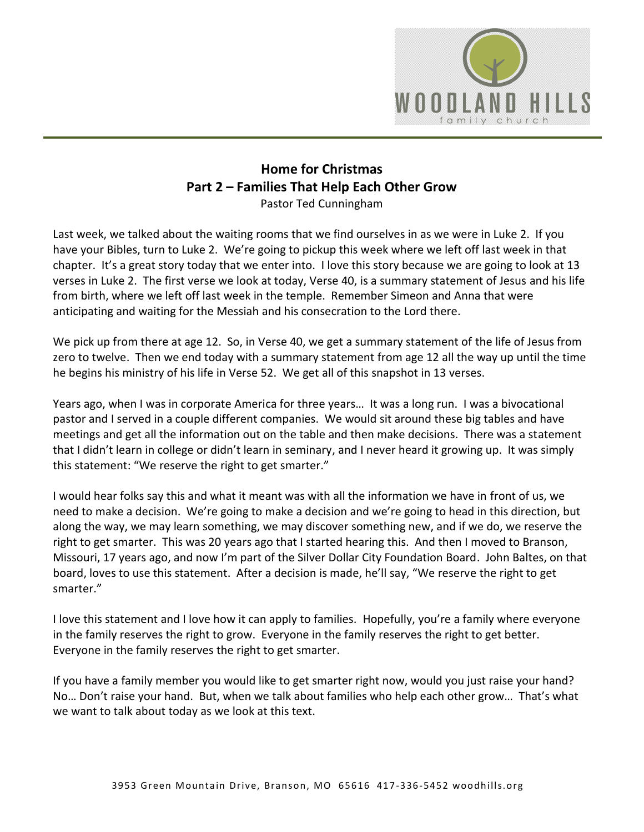

# **Home for Christmas Part 2 – Families That Help Each Other Grow**

Pastor Ted Cunningham

Last week, we talked about the waiting rooms that we find ourselves in as we were in Luke 2. If you have your Bibles, turn to Luke 2. We're going to pickup this week where we left off last week in that chapter. It's a great story today that we enter into. I love this story because we are going to look at 13 verses in Luke 2. The first verse we look at today, Verse 40, is a summary statement of Jesus and his life from birth, where we left off last week in the temple. Remember Simeon and Anna that were anticipating and waiting for the Messiah and his consecration to the Lord there.

We pick up from there at age 12. So, in Verse 40, we get a summary statement of the life of Jesus from zero to twelve. Then we end today with a summary statement from age 12 all the way up until the time he begins his ministry of his life in Verse 52. We get all of this snapshot in 13 verses.

Years ago, when I was in corporate America for three years… It was a long run. I was a bivocational pastor and I served in a couple different companies. We would sit around these big tables and have meetings and get all the information out on the table and then make decisions. There was a statement that I didn't learn in college or didn't learn in seminary, and I never heard it growing up. It was simply this statement: "We reserve the right to get smarter."

I would hear folks say this and what it meant was with all the information we have in front of us, we need to make a decision. We're going to make a decision and we're going to head in this direction, but along the way, we may learn something, we may discover something new, and if we do, we reserve the right to get smarter. This was 20 years ago that I started hearing this. And then I moved to Branson, Missouri, 17 years ago, and now I'm part of the Silver Dollar City Foundation Board. John Baltes, on that board, loves to use this statement. After a decision is made, he'll say, "We reserve the right to get smarter."

I love this statement and I love how it can apply to families. Hopefully, you're a family where everyone in the family reserves the right to grow. Everyone in the family reserves the right to get better. Everyone in the family reserves the right to get smarter.

If you have a family member you would like to get smarter right now, would you just raise your hand? No… Don't raise your hand. But, when we talk about families who help each other grow… That's what we want to talk about today as we look at this text.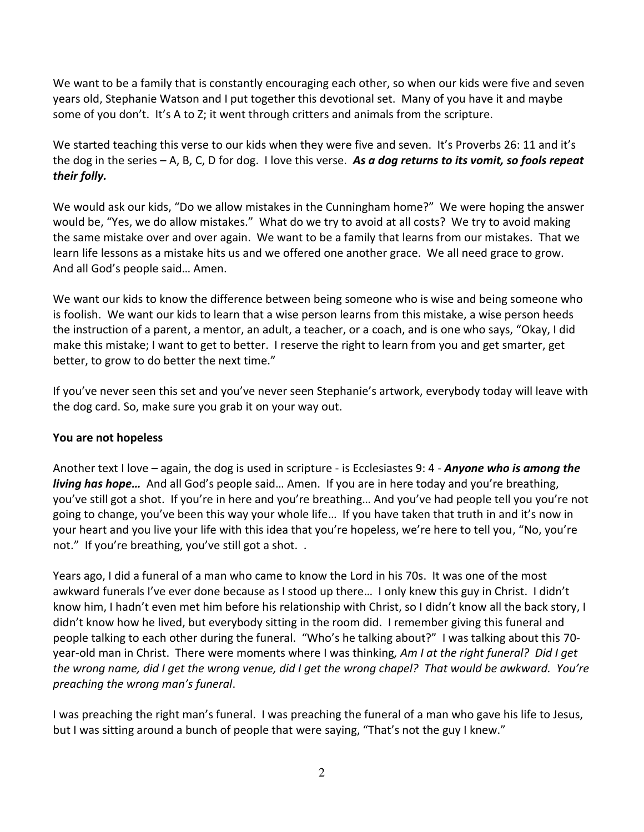We want to be a family that is constantly encouraging each other, so when our kids were five and seven years old, Stephanie Watson and I put together this devotional set. Many of you have it and maybe some of you don't. It's A to Z; it went through critters and animals from the scripture.

We started teaching this verse to our kids when they were five and seven. It's Proverbs 26: 11 and it's the dog in the series – A, B, C, D for dog. I love this verse. *As a dog returns to its vomit, so fools repeat their folly.*

We would ask our kids, "Do we allow mistakes in the Cunningham home?" We were hoping the answer would be, "Yes, we do allow mistakes." What do we try to avoid at all costs? We try to avoid making the same mistake over and over again. We want to be a family that learns from our mistakes. That we learn life lessons as a mistake hits us and we offered one another grace. We all need grace to grow. And all God's people said… Amen.

We want our kids to know the difference between being someone who is wise and being someone who is foolish. We want our kids to learn that a wise person learns from this mistake, a wise person heeds the instruction of a parent, a mentor, an adult, a teacher, or a coach, and is one who says, "Okay, I did make this mistake; I want to get to better. I reserve the right to learn from you and get smarter, get better, to grow to do better the next time."

If you've never seen this set and you've never seen Stephanie's artwork, everybody today will leave with the dog card. So, make sure you grab it on your way out.

## **You are not hopeless**

Another text I love – again, the dog is used in scripture - is Ecclesiastes 9: 4 - *Anyone who is among the living has hope…* And all God's people said… Amen. If you are in here today and you're breathing, you've still got a shot. If you're in here and you're breathing… And you've had people tell you you're not going to change, you've been this way your whole life… If you have taken that truth in and it's now in your heart and you live your life with this idea that you're hopeless, we're here to tell you, "No, you're not." If you're breathing, you've still got a shot. .

Years ago, I did a funeral of a man who came to know the Lord in his 70s. It was one of the most awkward funerals I've ever done because as I stood up there… I only knew this guy in Christ. I didn't know him, I hadn't even met him before his relationship with Christ, so I didn't know all the back story, I didn't know how he lived, but everybody sitting in the room did. I remember giving this funeral and people talking to each other during the funeral. "Who's he talking about?" I was talking about this 70 year-old man in Christ. There were moments where I was thinking*, Am I at the right funeral? Did I get the wrong name, did I get the wrong venue, did I get the wrong chapel? That would be awkward. You're preaching the wrong man's funeral*.

I was preaching the right man's funeral. I was preaching the funeral of a man who gave his life to Jesus, but I was sitting around a bunch of people that were saying, "That's not the guy I knew."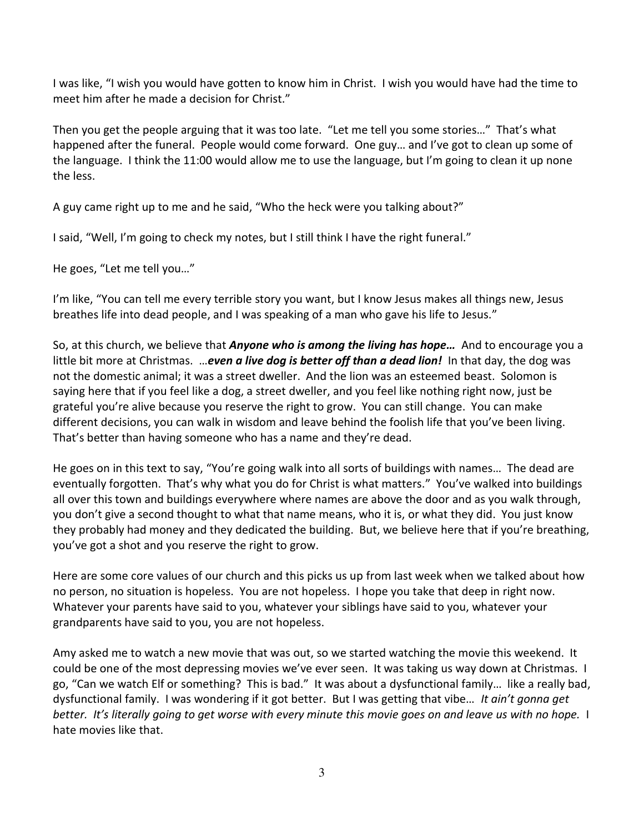I was like, "I wish you would have gotten to know him in Christ. I wish you would have had the time to meet him after he made a decision for Christ."

Then you get the people arguing that it was too late. "Let me tell you some stories…" That's what happened after the funeral. People would come forward. One guy… and I've got to clean up some of the language. I think the 11:00 would allow me to use the language, but I'm going to clean it up none the less.

A guy came right up to me and he said, "Who the heck were you talking about?"

I said, "Well, I'm going to check my notes, but I still think I have the right funeral."

He goes, "Let me tell you…"

I'm like, "You can tell me every terrible story you want, but I know Jesus makes all things new, Jesus breathes life into dead people, and I was speaking of a man who gave his life to Jesus."

So, at this church, we believe that *Anyone who is among the living has hope…* And to encourage you a little bit more at Christmas. …*even a live dog is better off than a dead lion!* In that day, the dog was not the domestic animal; it was a street dweller. And the lion was an esteemed beast. Solomon is saying here that if you feel like a dog, a street dweller, and you feel like nothing right now, just be grateful you're alive because you reserve the right to grow. You can still change. You can make different decisions, you can walk in wisdom and leave behind the foolish life that you've been living. That's better than having someone who has a name and they're dead.

He goes on in this text to say, "You're going walk into all sorts of buildings with names… The dead are eventually forgotten. That's why what you do for Christ is what matters." You've walked into buildings all over this town and buildings everywhere where names are above the door and as you walk through, you don't give a second thought to what that name means, who it is, or what they did. You just know they probably had money and they dedicated the building. But, we believe here that if you're breathing, you've got a shot and you reserve the right to grow.

Here are some core values of our church and this picks us up from last week when we talked about how no person, no situation is hopeless. You are not hopeless. I hope you take that deep in right now. Whatever your parents have said to you, whatever your siblings have said to you, whatever your grandparents have said to you, you are not hopeless.

Amy asked me to watch a new movie that was out, so we started watching the movie this weekend. It could be one of the most depressing movies we've ever seen. It was taking us way down at Christmas. I go, "Can we watch Elf or something? This is bad." It was about a dysfunctional family… like a really bad, dysfunctional family. I was wondering if it got better. But I was getting that vibe… *It ain't gonna get better. It's literally going to get worse with every minute this movie goes on and leave us with no hope.* I hate movies like that.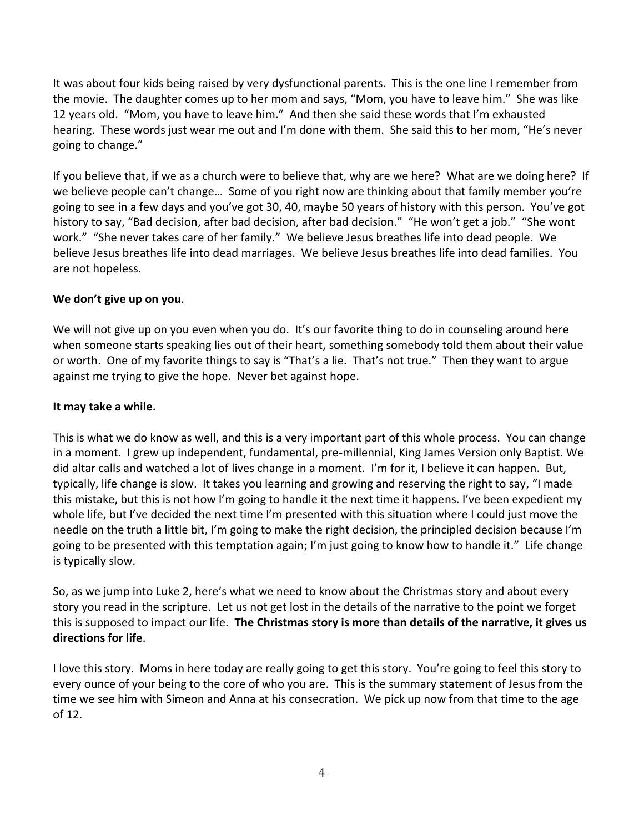It was about four kids being raised by very dysfunctional parents. This is the one line I remember from the movie. The daughter comes up to her mom and says, "Mom, you have to leave him." She was like 12 years old. "Mom, you have to leave him." And then she said these words that I'm exhausted hearing. These words just wear me out and I'm done with them. She said this to her mom, "He's never going to change."

If you believe that, if we as a church were to believe that, why are we here? What are we doing here? If we believe people can't change… Some of you right now are thinking about that family member you're going to see in a few days and you've got 30, 40, maybe 50 years of history with this person. You've got history to say, "Bad decision, after bad decision, after bad decision." "He won't get a job." "She wont work." "She never takes care of her family." We believe Jesus breathes life into dead people. We believe Jesus breathes life into dead marriages. We believe Jesus breathes life into dead families. You are not hopeless.

## **We don't give up on you**.

We will not give up on you even when you do. It's our favorite thing to do in counseling around here when someone starts speaking lies out of their heart, something somebody told them about their value or worth. One of my favorite things to say is "That's a lie. That's not true." Then they want to argue against me trying to give the hope. Never bet against hope.

#### **It may take a while.**

This is what we do know as well, and this is a very important part of this whole process. You can change in a moment. I grew up independent, fundamental, pre-millennial, King James Version only Baptist. We did altar calls and watched a lot of lives change in a moment. I'm for it, I believe it can happen. But, typically, life change is slow. It takes you learning and growing and reserving the right to say, "I made this mistake, but this is not how I'm going to handle it the next time it happens. I've been expedient my whole life, but I've decided the next time I'm presented with this situation where I could just move the needle on the truth a little bit, I'm going to make the right decision, the principled decision because I'm going to be presented with this temptation again; I'm just going to know how to handle it." Life change is typically slow.

So, as we jump into Luke 2, here's what we need to know about the Christmas story and about every story you read in the scripture. Let us not get lost in the details of the narrative to the point we forget this is supposed to impact our life. **The Christmas story is more than details of the narrative, it gives us directions for life**.

I love this story. Moms in here today are really going to get this story. You're going to feel this story to every ounce of your being to the core of who you are. This is the summary statement of Jesus from the time we see him with Simeon and Anna at his consecration. We pick up now from that time to the age of 12.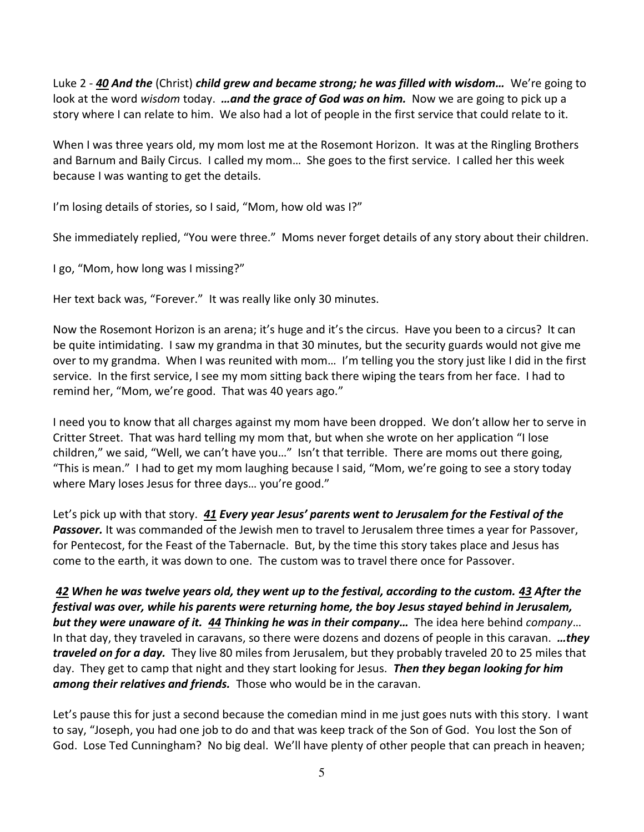Luke 2 - *[40](https://www.studylight.org/desk/?q=lu%202:40&t1=en_niv&sr=1) And the* (Christ) *child grew and became strong; he was filled with wisdom…* We're going to look at the word *wisdom* today. *…and the grace of God was on him.* Now we are going to pick up a story where I can relate to him. We also had a lot of people in the first service that could relate to it.

When I was three years old, my mom lost me at the Rosemont Horizon. It was at the Ringling Brothers and Barnum and Baily Circus. I called my mom… She goes to the first service. I called her this week because I was wanting to get the details.

I'm losing details of stories, so I said, "Mom, how old was I?"

She immediately replied, "You were three." Moms never forget details of any story about their children.

I go, "Mom, how long was I missing?"

Her text back was, "Forever." It was really like only 30 minutes.

Now the Rosemont Horizon is an arena; it's huge and it's the circus. Have you been to a circus? It can be quite intimidating. I saw my grandma in that 30 minutes, but the security guards would not give me over to my grandma. When I was reunited with mom… I'm telling you the story just like I did in the first service. In the first service, I see my mom sitting back there wiping the tears from her face. I had to remind her, "Mom, we're good. That was 40 years ago."

I need you to know that all charges against my mom have been dropped. We don't allow her to serve in Critter Street. That was hard telling my mom that, but when she wrote on her application "I lose children," we said, "Well, we can't have you…" Isn't that terrible. There are moms out there going, "This is mean." I had to get my mom laughing because I said, "Mom, we're going to see a story today where Mary loses Jesus for three days… you're good."

Let's pick up with that story. *[41](https://www.studylight.org/desk/?q=lu%202:41&t1=en_niv&sr=1) Every year Jesus' parents went to Jerusalem for the Festival of the Passover.* It was commanded of the Jewish men to travel to Jerusalem three times a year for Passover, for Pentecost, for the Feast of the Tabernacle. But, by the time this story takes place and Jesus has come to the earth, it was down to one. The custom was to travel there once for Passover.

*[42](https://www.studylight.org/desk/?q=lu%202:42&t1=en_niv&sr=1) When he was twelve years old, they went up to the festival, according to the custom. [43](https://www.studylight.org/desk/?q=lu%202:43&t1=en_niv&sr=1) After the festival was over, while his parents were returning home, the boy Jesus stayed behind in Jerusalem, but they were unaware of it. [44](https://www.studylight.org/desk/?q=lu%202:44&t1=en_niv&sr=1) Thinking he was in their company…* The idea here behind *company*… In that day, they traveled in caravans, so there were dozens and dozens of people in this caravan. *…they traveled on for a day.* They live 80 miles from Jerusalem, but they probably traveled 20 to 25 miles that day. They get to camp that night and they start looking for Jesus. *Then they began looking for him among their relatives and friends.* Those who would be in the caravan.

Let's pause this for just a second because the comedian mind in me just goes nuts with this story. I want to say, "Joseph, you had one job to do and that was keep track of the Son of God. You lost the Son of God. Lose Ted Cunningham? No big deal. We'll have plenty of other people that can preach in heaven;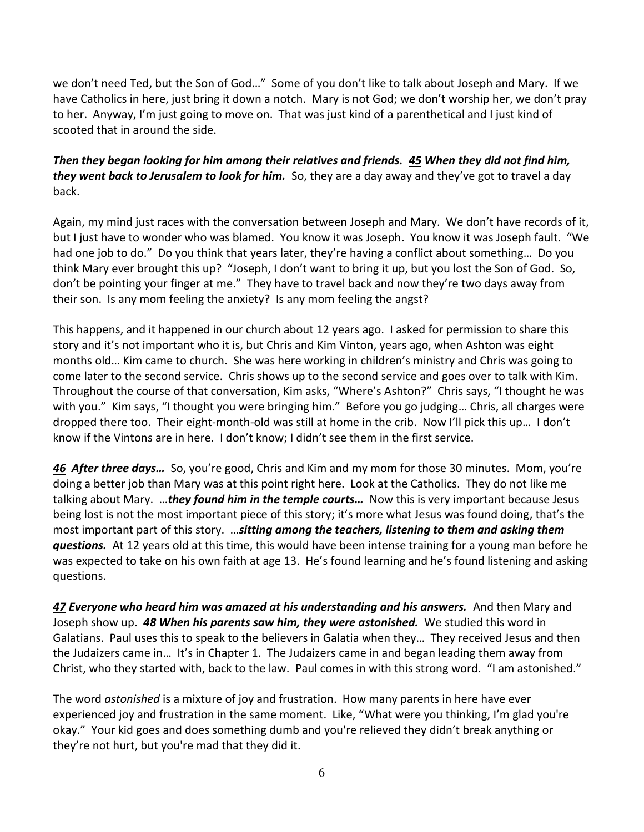we don't need Ted, but the Son of God…" Some of you don't like to talk about Joseph and Mary. If we have Catholics in here, just bring it down a notch. Mary is not God; we don't worship her, we don't pray to her. Anyway, I'm just going to move on. That was just kind of a parenthetical and I just kind of scooted that in around the side.

# *Then they began looking for him among their relatives and friends. [45](https://www.studylight.org/desk/?q=lu%202:45&t1=en_niv&sr=1) When they did not find him, they went back to Jerusalem to look for him.* So, they are a day away and they've got to travel a day back.

Again, my mind just races with the conversation between Joseph and Mary. We don't have records of it, but I just have to wonder who was blamed. You know it was Joseph. You know it was Joseph fault. "We had one job to do." Do you think that years later, they're having a conflict about something… Do you think Mary ever brought this up? "Joseph, I don't want to bring it up, but you lost the Son of God. So, don't be pointing your finger at me." They have to travel back and now they're two days away from their son. Is any mom feeling the anxiety? Is any mom feeling the angst?

This happens, and it happened in our church about 12 years ago. I asked for permission to share this story and it's not important who it is, but Chris and Kim Vinton, years ago, when Ashton was eight months old… Kim came to church. She was here working in children's ministry and Chris was going to come later to the second service. Chris shows up to the second service and goes over to talk with Kim. Throughout the course of that conversation, Kim asks, "Where's Ashton?" Chris says, "I thought he was with you." Kim says, "I thought you were bringing him." Before you go judging... Chris, all charges were dropped there too. Their eight-month-old was still at home in the crib. Now I'll pick this up… I don't know if the Vintons are in here. I don't know; I didn't see them in the first service.

*[46](https://www.studylight.org/desk/?q=lu%202:46&t1=en_niv&sr=1) After three days…* So, you're good, Chris and Kim and my mom for those 30 minutes. Mom, you're doing a better job than Mary was at this point right here. Look at the Catholics. They do not like me talking about Mary. …*they found him in the temple courts…* Now this is very important because Jesus being lost is not the most important piece of this story; it's more what Jesus was found doing, that's the most important part of this story. …*sitting among the teachers, listening to them and asking them questions.* At 12 years old at this time, this would have been intense training for a young man before he was expected to take on his own faith at age 13. He's found learning and he's found listening and asking questions.

*[47](https://www.studylight.org/desk/?q=lu%202:47&t1=en_niv&sr=1) Everyone who heard him was amazed at his understanding and his answers.* And then Mary and Joseph show up. *[48](https://www.studylight.org/desk/?q=lu%202:48&t1=en_niv&sr=1) When his parents saw him, they were astonished.* We studied this word in Galatians. Paul uses this to speak to the believers in Galatia when they… They received Jesus and then the Judaizers came in… It's in Chapter 1. The Judaizers came in and began leading them away from Christ, who they started with, back to the law. Paul comes in with this strong word. "I am astonished."

The word *astonished* is a mixture of joy and frustration. How many parents in here have ever experienced joy and frustration in the same moment. Like, "What were you thinking, I'm glad you're okay." Your kid goes and does something dumb and you're relieved they didn't break anything or they're not hurt, but you're mad that they did it.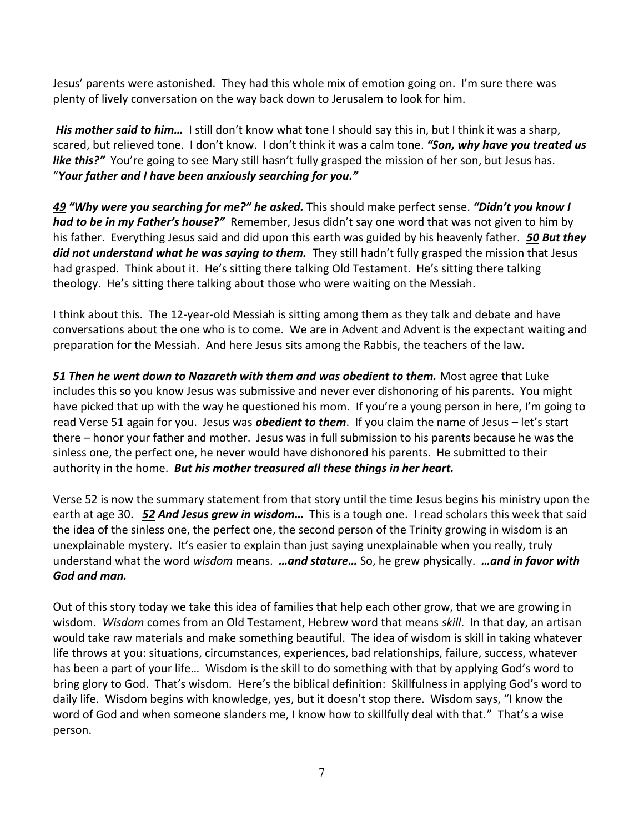Jesus' parents were astonished. They had this whole mix of emotion going on. I'm sure there was plenty of lively conversation on the way back down to Jerusalem to look for him.

 *His mother said to him…* I still don't know what tone I should say this in, but I think it was a sharp, scared, but relieved tone. I don't know. I don't think it was a calm tone. *"Son, why have you treated us like this?"* You're going to see Mary still hasn't fully grasped the mission of her son, but Jesus has. "*Your father and I have been anxiously searching for you."*

*[49](https://www.studylight.org/desk/?q=lu%202:49&t1=en_niv&sr=1) "Why were you searching for me?" he asked.* This should make perfect sense. *"Didn't you know I had to be in my Father's house?"* Remember, Jesus didn't say one word that was not given to him by his father. Everything Jesus said and did upon this earth was guided by his heavenly father. *[50](https://www.studylight.org/desk/?q=lu%202:50&t1=en_niv&sr=1) But they did not understand what he was saying to them.* They still hadn't fully grasped the mission that Jesus had grasped. Think about it. He's sitting there talking Old Testament. He's sitting there talking theology. He's sitting there talking about those who were waiting on the Messiah.

I think about this. The 12-year-old Messiah is sitting among them as they talk and debate and have conversations about the one who is to come. We are in Advent and Advent is the expectant waiting and preparation for the Messiah. And here Jesus sits among the Rabbis, the teachers of the law.

*[51](https://www.studylight.org/desk/?q=lu%202:51&t1=en_niv&sr=1) Then he went down to Nazareth with them and was obedient to them.* Most agree that Luke includes this so you know Jesus was submissive and never ever dishonoring of his parents. You might have picked that up with the way he questioned his mom. If you're a young person in here, I'm going to read Verse 51 again for you. Jesus was *obedient to them*. If you claim the name of Jesus – let's start there – honor your father and mother. Jesus was in full submission to his parents because he was the sinless one, the perfect one, he never would have dishonored his parents. He submitted to their authority in the home. *But his mother treasured all these things in her heart.*

Verse 52 is now the summary statement from that story until the time Jesus begins his ministry upon the earth at age 30. *[52](https://www.studylight.org/desk/?q=lu%202:52&t1=en_niv&sr=1) And Jesus grew in wisdom…* This is a tough one. I read scholars this week that said the idea of the sinless one, the perfect one, the second person of the Trinity growing in wisdom is an unexplainable mystery. It's easier to explain than just saying unexplainable when you really, truly understand what the word *wisdom* means. *…and stature…* So, he grew physically. *…and in favor with God and man.*

Out of this story today we take this idea of families that help each other grow, that we are growing in wisdom. *Wisdom* comes from an Old Testament, Hebrew word that means *skill*. In that day, an artisan would take raw materials and make something beautiful. The idea of wisdom is skill in taking whatever life throws at you: situations, circumstances, experiences, bad relationships, failure, success, whatever has been a part of your life… Wisdom is the skill to do something with that by applying God's word to bring glory to God. That's wisdom. Here's the biblical definition: Skillfulness in applying God's word to daily life. Wisdom begins with knowledge, yes, but it doesn't stop there. Wisdom says, "I know the word of God and when someone slanders me, I know how to skillfully deal with that." That's a wise person.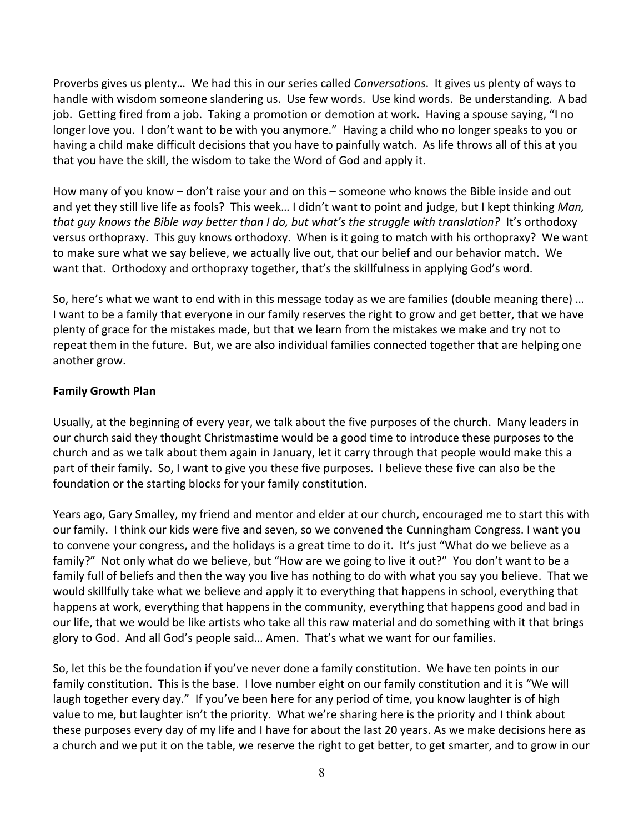Proverbs gives us plenty… We had this in our series called *Conversations*. It gives us plenty of ways to handle with wisdom someone slandering us. Use few words. Use kind words. Be understanding. A bad job. Getting fired from a job. Taking a promotion or demotion at work. Having a spouse saying, "I no longer love you. I don't want to be with you anymore." Having a child who no longer speaks to you or having a child make difficult decisions that you have to painfully watch. As life throws all of this at you that you have the skill, the wisdom to take the Word of God and apply it.

How many of you know – don't raise your and on this – someone who knows the Bible inside and out and yet they still live life as fools? This week… I didn't want to point and judge, but I kept thinking *Man, that guy knows the Bible way better than I do, but what's the struggle with translation?*It's orthodoxy versus orthopraxy. This guy knows orthodoxy. When is it going to match with his orthopraxy? We want to make sure what we say believe, we actually live out, that our belief and our behavior match. We want that. Orthodoxy and orthopraxy together, that's the skillfulness in applying God's word.

So, here's what we want to end with in this message today as we are families (double meaning there) … I want to be a family that everyone in our family reserves the right to grow and get better, that we have plenty of grace for the mistakes made, but that we learn from the mistakes we make and try not to repeat them in the future. But, we are also individual families connected together that are helping one another grow.

#### **Family Growth Plan**

Usually, at the beginning of every year, we talk about the five purposes of the church. Many leaders in our church said they thought Christmastime would be a good time to introduce these purposes to the church and as we talk about them again in January, let it carry through that people would make this a part of their family. So, I want to give you these five purposes. I believe these five can also be the foundation or the starting blocks for your family constitution.

Years ago, Gary Smalley, my friend and mentor and elder at our church, encouraged me to start this with our family. I think our kids were five and seven, so we convened the Cunningham Congress. I want you to convene your congress, and the holidays is a great time to do it. It's just "What do we believe as a family?" Not only what do we believe, but "How are we going to live it out?" You don't want to be a family full of beliefs and then the way you live has nothing to do with what you say you believe. That we would skillfully take what we believe and apply it to everything that happens in school, everything that happens at work, everything that happens in the community, everything that happens good and bad in our life, that we would be like artists who take all this raw material and do something with it that brings glory to God. And all God's people said… Amen. That's what we want for our families.

So, let this be the foundation if you've never done a family constitution. We have ten points in our family constitution. This is the base. I love number eight on our family constitution and it is "We will laugh together every day." If you've been here for any period of time, you know laughter is of high value to me, but laughter isn't the priority. What we're sharing here is the priority and I think about these purposes every day of my life and I have for about the last 20 years. As we make decisions here as a church and we put it on the table, we reserve the right to get better, to get smarter, and to grow in our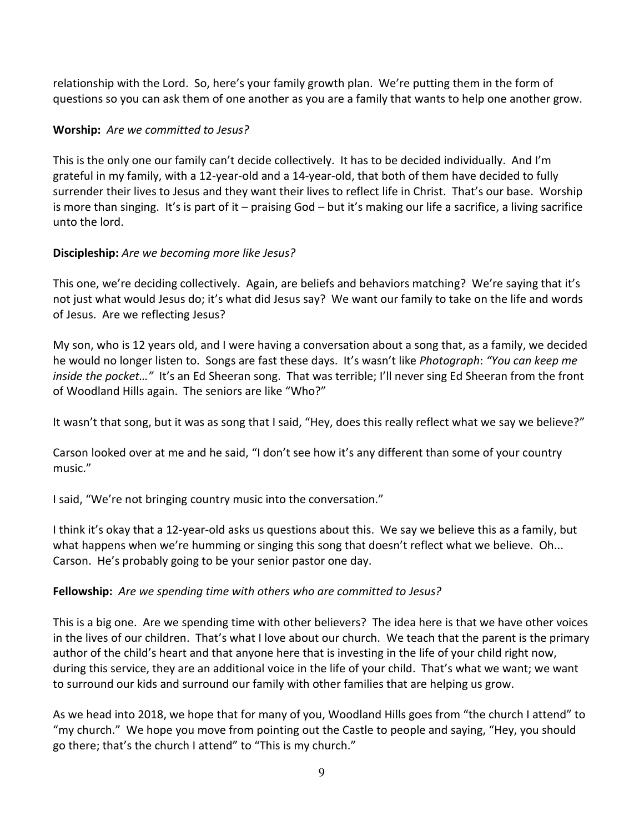relationship with the Lord. So, here's your family growth plan. We're putting them in the form of questions so you can ask them of one another as you are a family that wants to help one another grow.

## **Worship:** *Are we committed to Jesus?*

This is the only one our family can't decide collectively. It has to be decided individually. And I'm grateful in my family, with a 12-year-old and a 14-year-old, that both of them have decided to fully surrender their lives to Jesus and they want their lives to reflect life in Christ. That's our base. Worship is more than singing. It's is part of it – praising God – but it's making our life a sacrifice, a living sacrifice unto the lord.

# **Discipleship:** *Are we becoming more like Jesus?*

This one, we're deciding collectively. Again, are beliefs and behaviors matching? We're saying that it's not just what would Jesus do; it's what did Jesus say? We want our family to take on the life and words of Jesus. Are we reflecting Jesus?

My son, who is 12 years old, and I were having a conversation about a song that, as a family, we decided he would no longer listen to. Songs are fast these days. It's wasn't like *Photograph*: *"You can keep me inside the pocket…"* It's an Ed Sheeran song. That was terrible; I'll never sing Ed Sheeran from the front of Woodland Hills again. The seniors are like "Who?"

It wasn't that song, but it was as song that I said, "Hey, does this really reflect what we say we believe?"

Carson looked over at me and he said, "I don't see how it's any different than some of your country music."

I said, "We're not bringing country music into the conversation."

I think it's okay that a 12-year-old asks us questions about this. We say we believe this as a family, but what happens when we're humming or singing this song that doesn't reflect what we believe. Oh... Carson. He's probably going to be your senior pastor one day.

## **Fellowship:** *Are we spending time with others who are committed to Jesus?*

This is a big one. Are we spending time with other believers? The idea here is that we have other voices in the lives of our children. That's what I love about our church. We teach that the parent is the primary author of the child's heart and that anyone here that is investing in the life of your child right now, during this service, they are an additional voice in the life of your child. That's what we want; we want to surround our kids and surround our family with other families that are helping us grow.

As we head into 2018, we hope that for many of you, Woodland Hills goes from "the church I attend" to "my church." We hope you move from pointing out the Castle to people and saying, "Hey, you should go there; that's the church I attend" to "This is my church."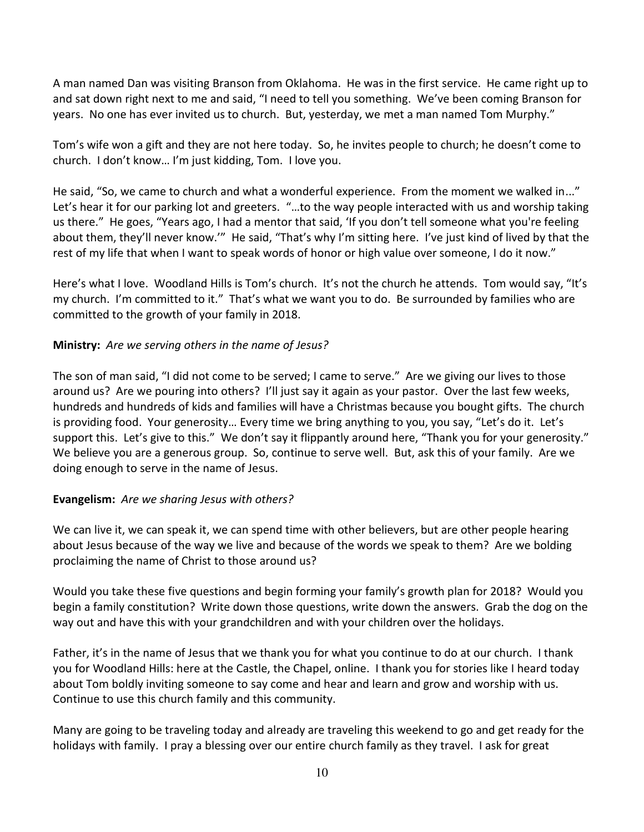A man named Dan was visiting Branson from Oklahoma. He was in the first service. He came right up to and sat down right next to me and said, "I need to tell you something. We've been coming Branson for years. No one has ever invited us to church. But, yesterday, we met a man named Tom Murphy."

Tom's wife won a gift and they are not here today. So, he invites people to church; he doesn't come to church. I don't know… I'm just kidding, Tom. I love you.

He said, "So, we came to church and what a wonderful experience. From the moment we walked in..." Let's hear it for our parking lot and greeters. "…to the way people interacted with us and worship taking us there." He goes, "Years ago, I had a mentor that said, 'If you don't tell someone what you're feeling about them, they'll never know.'" He said, "That's why I'm sitting here. I've just kind of lived by that the rest of my life that when I want to speak words of honor or high value over someone, I do it now."

Here's what I love. Woodland Hills is Tom's church. It's not the church he attends. Tom would say, "It's my church. I'm committed to it." That's what we want you to do. Be surrounded by families who are committed to the growth of your family in 2018.

## **Ministry:** *Are we serving others in the name of Jesus?*

The son of man said, "I did not come to be served; I came to serve." Are we giving our lives to those around us? Are we pouring into others? I'll just say it again as your pastor. Over the last few weeks, hundreds and hundreds of kids and families will have a Christmas because you bought gifts. The church is providing food. Your generosity… Every time we bring anything to you, you say, "Let's do it. Let's support this. Let's give to this." We don't say it flippantly around here, "Thank you for your generosity." We believe you are a generous group. So, continue to serve well. But, ask this of your family. Are we doing enough to serve in the name of Jesus.

## **Evangelism:** *Are we sharing Jesus with others?*

We can live it, we can speak it, we can spend time with other believers, but are other people hearing about Jesus because of the way we live and because of the words we speak to them? Are we bolding proclaiming the name of Christ to those around us?

Would you take these five questions and begin forming your family's growth plan for 2018? Would you begin a family constitution? Write down those questions, write down the answers. Grab the dog on the way out and have this with your grandchildren and with your children over the holidays.

Father, it's in the name of Jesus that we thank you for what you continue to do at our church. I thank you for Woodland Hills: here at the Castle, the Chapel, online. I thank you for stories like I heard today about Tom boldly inviting someone to say come and hear and learn and grow and worship with us. Continue to use this church family and this community.

Many are going to be traveling today and already are traveling this weekend to go and get ready for the holidays with family. I pray a blessing over our entire church family as they travel. I ask for great